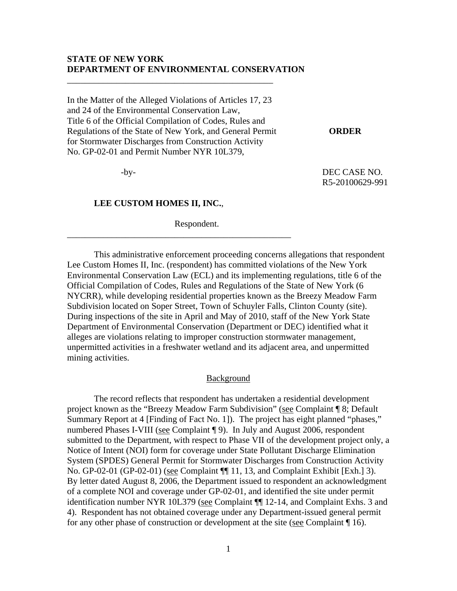### **STATE OF NEW YORK DEPARTMENT OF ENVIRONMENTAL CONSERVATION**

In the Matter of the Alleged Violations of Articles 17, 23 and 24 of the Environmental Conservation Law, Title 6 of the Official Compilation of Codes, Rules and Regulations of the State of New York, and General Permit **ORDER**  for Stormwater Discharges from Construction Activity No. GP-02-01 and Permit Number NYR 10L379,

\_\_\_\_\_\_\_\_\_\_\_\_\_\_\_\_\_\_\_\_\_\_\_\_\_\_\_\_\_\_\_\_\_\_\_\_\_\_\_\_\_\_\_\_\_\_

 -by- DEC CASE NO. R5-20100629-991

### **LEE CUSTOM HOMES II, INC.**,

Respondent.

\_\_\_\_\_\_\_\_\_\_\_\_\_\_\_\_\_\_\_\_\_\_\_\_\_\_\_\_\_\_\_\_\_\_\_\_\_\_\_\_\_\_\_\_\_\_\_\_\_\_

 This administrative enforcement proceeding concerns allegations that respondent Lee Custom Homes II, Inc. (respondent) has committed violations of the New York Environmental Conservation Law (ECL) and its implementing regulations, title 6 of the Official Compilation of Codes, Rules and Regulations of the State of New York (6 NYCRR), while developing residential properties known as the Breezy Meadow Farm Subdivision located on Soper Street, Town of Schuyler Falls, Clinton County (site). During inspections of the site in April and May of 2010, staff of the New York State Department of Environmental Conservation (Department or DEC) identified what it alleges are violations relating to improper construction stormwater management, unpermitted activities in a freshwater wetland and its adjacent area, and unpermitted mining activities.

### Background

The record reflects that respondent has undertaken a residential development project known as the "Breezy Meadow Farm Subdivision" (see Complaint ¶ 8; Default Summary Report at 4 [Finding of Fact No. 1]). The project has eight planned "phases," numbered Phases I-VIII (see Complaint ¶ 9). In July and August 2006, respondent submitted to the Department, with respect to Phase VII of the development project only, a Notice of Intent (NOI) form for coverage under State Pollutant Discharge Elimination System (SPDES) General Permit for Stormwater Discharges from Construction Activity No. GP-02-01 (GP-02-01) (see Complaint ¶¶ 11, 13, and Complaint Exhibit [Exh.] 3). By letter dated August 8, 2006, the Department issued to respondent an acknowledgment of a complete NOI and coverage under GP-02-01, and identified the site under permit identification number NYR 10L379 (see Complaint ¶¶ 12-14, and Complaint Exhs. 3 and 4). Respondent has not obtained coverage under any Department-issued general permit for any other phase of construction or development at the site (see Complaint ¶ 16).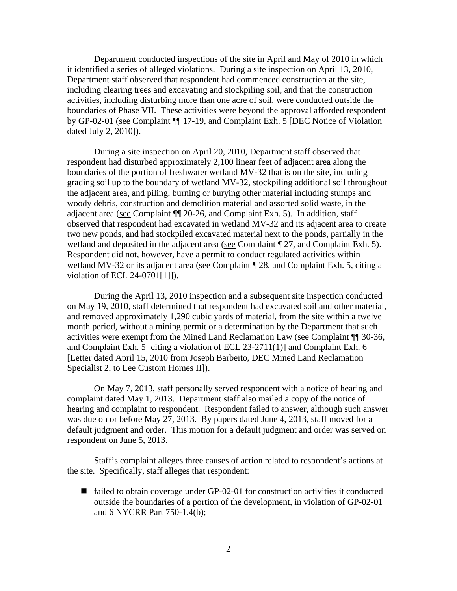Department conducted inspections of the site in April and May of 2010 in which it identified a series of alleged violations. During a site inspection on April 13, 2010, Department staff observed that respondent had commenced construction at the site, including clearing trees and excavating and stockpiling soil, and that the construction activities, including disturbing more than one acre of soil, were conducted outside the boundaries of Phase VII. These activities were beyond the approval afforded respondent by GP-02-01 (see Complaint ¶¶ 17-19, and Complaint Exh. 5 [DEC Notice of Violation dated July 2, 2010]).

During a site inspection on April 20, 2010, Department staff observed that respondent had disturbed approximately 2,100 linear feet of adjacent area along the boundaries of the portion of freshwater wetland MV-32 that is on the site, including grading soil up to the boundary of wetland MV-32, stockpiling additional soil throughout the adjacent area, and piling, burning or burying other material including stumps and woody debris, construction and demolition material and assorted solid waste, in the adjacent area (see Complaint ¶¶ 20-26, and Complaint Exh. 5). In addition, staff observed that respondent had excavated in wetland MV-32 and its adjacent area to create two new ponds, and had stockpiled excavated material next to the ponds, partially in the wetland and deposited in the adjacent area (see Complaint ¶ 27, and Complaint Exh. 5). Respondent did not, however, have a permit to conduct regulated activities within wetland MV-32 or its adjacent area (see Complaint  $\P$  28, and Complaint Exh. 5, citing a violation of ECL 24-0701[1]]).

During the April 13, 2010 inspection and a subsequent site inspection conducted on May 19, 2010, staff determined that respondent had excavated soil and other material, and removed approximately 1,290 cubic yards of material, from the site within a twelve month period, without a mining permit or a determination by the Department that such activities were exempt from the Mined Land Reclamation Law (see Complaint ¶¶ 30-36, and Complaint Exh. 5 [citing a violation of ECL 23-2711(1)] and Complaint Exh. 6 [Letter dated April 15, 2010 from Joseph Barbeito, DEC Mined Land Reclamation Specialist 2, to Lee Custom Homes II]).

 On May 7, 2013, staff personally served respondent with a notice of hearing and complaint dated May 1, 2013. Department staff also mailed a copy of the notice of hearing and complaint to respondent. Respondent failed to answer, although such answer was due on or before May 27, 2013. By papers dated June 4, 2013, staff moved for a default judgment and order. This motion for a default judgment and order was served on respondent on June 5, 2013.

 Staff's complaint alleges three causes of action related to respondent's actions at the site. Specifically, staff alleges that respondent:

 $\blacksquare$  failed to obtain coverage under GP-02-01 for construction activities it conducted outside the boundaries of a portion of the development, in violation of GP-02-01 and 6 NYCRR Part 750-1.4(b);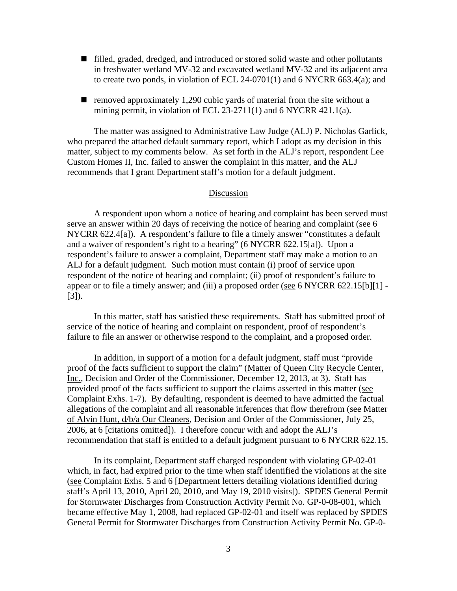- filled, graded, dredged, and introduced or stored solid waste and other pollutants in freshwater wetland MV-32 and excavated wetland MV-32 and its adjacent area to create two ponds, in violation of ECL 24-0701(1) and 6 NYCRR 663.4(a); and
- $\blacksquare$  removed approximately 1,290 cubic yards of material from the site without a mining permit, in violation of ECL 23-2711(1) and 6 NYCRR 421.1(a).

The matter was assigned to Administrative Law Judge (ALJ) P. Nicholas Garlick, who prepared the attached default summary report, which I adopt as my decision in this matter, subject to my comments below. As set forth in the ALJ's report, respondent Lee Custom Homes II, Inc. failed to answer the complaint in this matter, and the ALJ recommends that I grant Department staff's motion for a default judgment.

### Discussion

 A respondent upon whom a notice of hearing and complaint has been served must serve an answer within 20 days of receiving the notice of hearing and complaint (see 6 NYCRR 622.4[a]). A respondent's failure to file a timely answer "constitutes a default and a waiver of respondent's right to a hearing" (6 NYCRR 622.15[a]). Upon a respondent's failure to answer a complaint, Department staff may make a motion to an ALJ for a default judgment. Such motion must contain (i) proof of service upon respondent of the notice of hearing and complaint; (ii) proof of respondent's failure to appear or to file a timely answer; and (iii) a proposed order (see 6 NYCRR 622.15[b][1] - [3]).

 In this matter, staff has satisfied these requirements. Staff has submitted proof of service of the notice of hearing and complaint on respondent, proof of respondent's failure to file an answer or otherwise respond to the complaint, and a proposed order.

In addition, in support of a motion for a default judgment, staff must "provide proof of the facts sufficient to support the claim" (Matter of Queen City Recycle Center, Inc., Decision and Order of the Commissioner, December 12, 2013, at 3). Staff has provided proof of the facts sufficient to support the claims asserted in this matter (see Complaint Exhs. 1-7). By defaulting, respondent is deemed to have admitted the factual allegations of the complaint and all reasonable inferences that flow therefrom (see Matter of Alvin Hunt, d/b/a Our Cleaners, Decision and Order of the Commissioner, July 25, 2006, at 6 [citations omitted]). I therefore concur with and adopt the ALJ's recommendation that staff is entitled to a default judgment pursuant to 6 NYCRR 622.15.

In its complaint, Department staff charged respondent with violating GP-02-01 which, in fact, had expired prior to the time when staff identified the violations at the site (see Complaint Exhs. 5 and 6 [Department letters detailing violations identified during staff's April 13, 2010, April 20, 2010, and May 19, 2010 visits]). SPDES General Permit for Stormwater Discharges from Construction Activity Permit No. GP-0-08-001, which became effective May 1, 2008, had replaced GP-02-01 and itself was replaced by SPDES General Permit for Stormwater Discharges from Construction Activity Permit No. GP-0-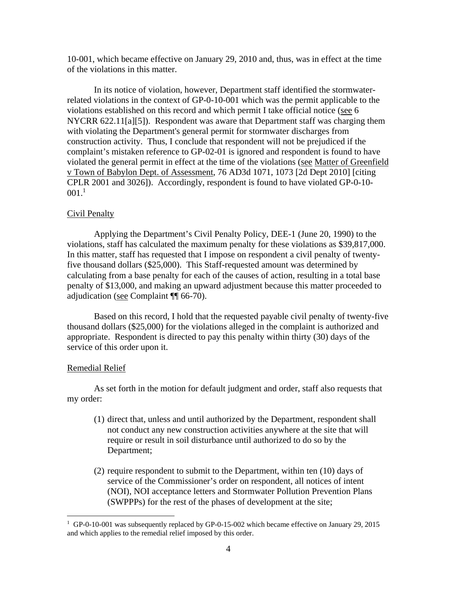10-001, which became effective on January 29, 2010 and, thus, was in effect at the time of the violations in this matter.

In its notice of violation, however, Department staff identified the stormwaterrelated violations in the context of GP-0-10-001 which was the permit applicable to the violations established on this record and which permit I take official notice (see 6 NYCRR 622.11[a][5]). Respondent was aware that Department staff was charging them with violating the Department's general permit for stormwater discharges from construction activity. Thus, I conclude that respondent will not be prejudiced if the complaint's mistaken reference to GP-02-01 is ignored and respondent is found to have violated the general permit in effect at the time of the violations (see Matter of Greenfield v Town of Babylon Dept. of Assessment, 76 AD3d 1071, 1073 [2d Dept 2010] [citing CPLR 2001 and 3026]). Accordingly, respondent is found to have violated GP-0-10-  $001.^1$ 

### Civil Penalty

Applying the Department's Civil Penalty Policy, DEE-1 (June 20, 1990) to the violations, staff has calculated the maximum penalty for these violations as \$39,817,000. In this matter, staff has requested that I impose on respondent a civil penalty of twentyfive thousand dollars (\$25,000). This Staff-requested amount was determined by calculating from a base penalty for each of the causes of action, resulting in a total base penalty of \$13,000, and making an upward adjustment because this matter proceeded to adjudication (see Complaint ¶¶ 66-70).

Based on this record, I hold that the requested payable civil penalty of twenty-five thousand dollars (\$25,000) for the violations alleged in the complaint is authorized and appropriate. Respondent is directed to pay this penalty within thirty (30) days of the service of this order upon it.

#### Remedial Relief

 $\overline{a}$ 

As set forth in the motion for default judgment and order, staff also requests that my order:

- (1) direct that, unless and until authorized by the Department, respondent shall not conduct any new construction activities anywhere at the site that will require or result in soil disturbance until authorized to do so by the Department;
- (2) require respondent to submit to the Department, within ten (10) days of service of the Commissioner's order on respondent, all notices of intent (NOI), NOI acceptance letters and Stormwater Pollution Prevention Plans (SWPPPs) for the rest of the phases of development at the site;

<sup>&</sup>lt;sup>1</sup> GP-0-10-001 was subsequently replaced by GP-0-15-002 which became effective on January 29, 2015 and which applies to the remedial relief imposed by this order.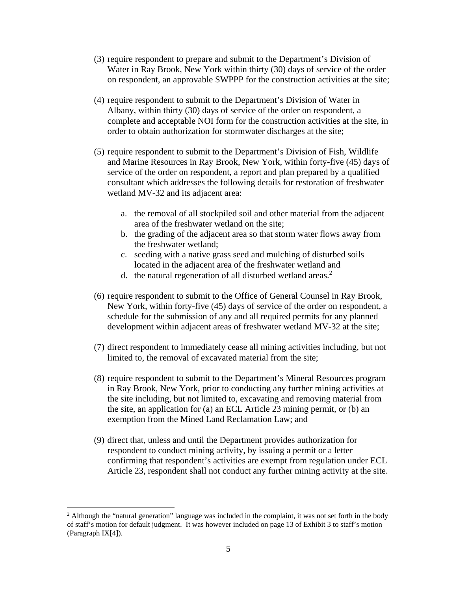- (3) require respondent to prepare and submit to the Department's Division of Water in Ray Brook, New York within thirty (30) days of service of the order on respondent, an approvable SWPPP for the construction activities at the site;
- (4) require respondent to submit to the Department's Division of Water in Albany, within thirty (30) days of service of the order on respondent, a complete and acceptable NOI form for the construction activities at the site, in order to obtain authorization for stormwater discharges at the site;
- (5) require respondent to submit to the Department's Division of Fish, Wildlife and Marine Resources in Ray Brook, New York, within forty-five (45) days of service of the order on respondent, a report and plan prepared by a qualified consultant which addresses the following details for restoration of freshwater wetland MV-32 and its adjacent area:
	- a. the removal of all stockpiled soil and other material from the adjacent area of the freshwater wetland on the site;
	- b. the grading of the adjacent area so that storm water flows away from the freshwater wetland;
	- c. seeding with a native grass seed and mulching of disturbed soils located in the adjacent area of the freshwater wetland and
	- d. the natural regeneration of all disturbed wetland areas.<sup>2</sup>
- (6) require respondent to submit to the Office of General Counsel in Ray Brook, New York, within forty-five (45) days of service of the order on respondent, a schedule for the submission of any and all required permits for any planned development within adjacent areas of freshwater wetland MV-32 at the site;
- (7) direct respondent to immediately cease all mining activities including, but not limited to, the removal of excavated material from the site;
- (8) require respondent to submit to the Department's Mineral Resources program in Ray Brook, New York, prior to conducting any further mining activities at the site including, but not limited to, excavating and removing material from the site, an application for (a) an ECL Article 23 mining permit, or (b) an exemption from the Mined Land Reclamation Law; and
- (9) direct that, unless and until the Department provides authorization for respondent to conduct mining activity, by issuing a permit or a letter confirming that respondent's activities are exempt from regulation under ECL Article 23, respondent shall not conduct any further mining activity at the site.

 $\overline{a}$ 

<sup>&</sup>lt;sup>2</sup> Although the "natural generation" language was included in the complaint, it was not set forth in the body of staff's motion for default judgment. It was however included on page 13 of Exhibit 3 to staff's motion (Paragraph IX[4]).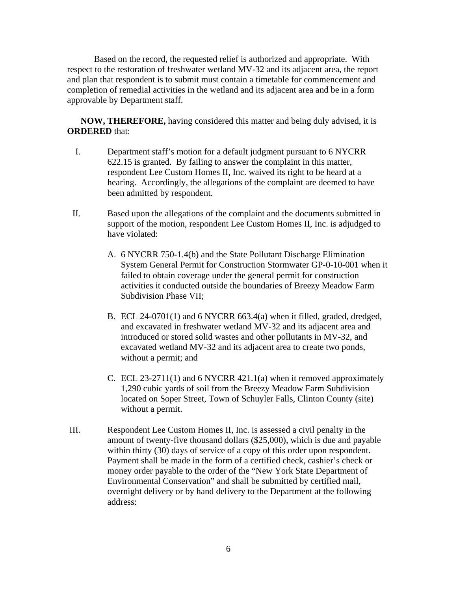Based on the record, the requested relief is authorized and appropriate. With respect to the restoration of freshwater wetland MV-32 and its adjacent area, the report and plan that respondent is to submit must contain a timetable for commencement and completion of remedial activities in the wetland and its adjacent area and be in a form approvable by Department staff.

**NOW, THEREFORE,** having considered this matter and being duly advised, it is **ORDERED** that:

- I. Department staff's motion for a default judgment pursuant to 6 NYCRR 622.15 is granted. By failing to answer the complaint in this matter, respondent Lee Custom Homes II, Inc. waived its right to be heard at a hearing. Accordingly, the allegations of the complaint are deemed to have been admitted by respondent.
- II. Based upon the allegations of the complaint and the documents submitted in support of the motion, respondent Lee Custom Homes II, Inc. is adjudged to have violated:
	- A. 6 NYCRR 750-1.4(b) and the State Pollutant Discharge Elimination System General Permit for Construction Stormwater GP-0-10-001 when it failed to obtain coverage under the general permit for construction activities it conducted outside the boundaries of Breezy Meadow Farm Subdivision Phase VII;
	- B. ECL 24-0701(1) and 6 NYCRR 663.4(a) when it filled, graded, dredged, and excavated in freshwater wetland MV-32 and its adjacent area and introduced or stored solid wastes and other pollutants in MV-32, and excavated wetland MV-32 and its adjacent area to create two ponds, without a permit; and
	- C. ECL 23-2711(1) and 6 NYCRR 421.1(a) when it removed approximately 1,290 cubic yards of soil from the Breezy Meadow Farm Subdivision located on Soper Street, Town of Schuyler Falls, Clinton County (site) without a permit.
- III. Respondent Lee Custom Homes II, Inc. is assessed a civil penalty in the amount of twenty-five thousand dollars (\$25,000), which is due and payable within thirty (30) days of service of a copy of this order upon respondent. Payment shall be made in the form of a certified check, cashier's check or money order payable to the order of the "New York State Department of Environmental Conservation" and shall be submitted by certified mail, overnight delivery or by hand delivery to the Department at the following address: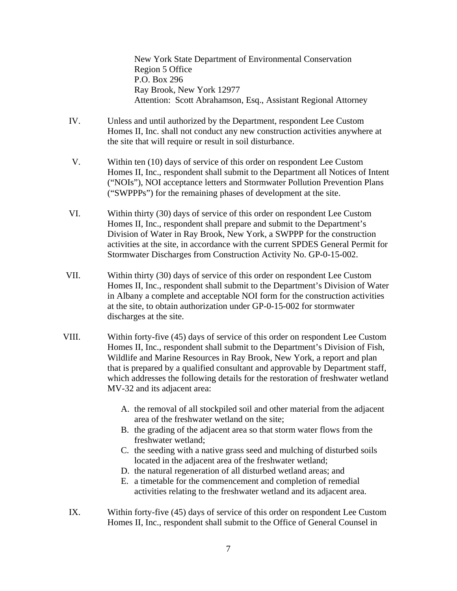New York State Department of Environmental Conservation Region 5 Office P.O. Box 296 Ray Brook, New York 12977 Attention: Scott Abrahamson, Esq., Assistant Regional Attorney

- IV. Unless and until authorized by the Department, respondent Lee Custom Homes II, Inc. shall not conduct any new construction activities anywhere at the site that will require or result in soil disturbance.
- V. Within ten (10) days of service of this order on respondent Lee Custom Homes II, Inc., respondent shall submit to the Department all Notices of Intent ("NOIs"), NOI acceptance letters and Stormwater Pollution Prevention Plans ("SWPPPs") for the remaining phases of development at the site.
- VI. Within thirty (30) days of service of this order on respondent Lee Custom Homes II, Inc., respondent shall prepare and submit to the Department's Division of Water in Ray Brook, New York, a SWPPP for the construction activities at the site, in accordance with the current SPDES General Permit for Stormwater Discharges from Construction Activity No. GP-0-15-002.
- VII. Within thirty (30) days of service of this order on respondent Lee Custom Homes II, Inc., respondent shall submit to the Department's Division of Water in Albany a complete and acceptable NOI form for the construction activities at the site, to obtain authorization under GP-0-15-002 for stormwater discharges at the site.
- VIII. Within forty-five (45) days of service of this order on respondent Lee Custom Homes II, Inc., respondent shall submit to the Department's Division of Fish, Wildlife and Marine Resources in Ray Brook, New York, a report and plan that is prepared by a qualified consultant and approvable by Department staff, which addresses the following details for the restoration of freshwater wetland MV-32 and its adjacent area:
	- A. the removal of all stockpiled soil and other material from the adjacent area of the freshwater wetland on the site;
	- B. the grading of the adjacent area so that storm water flows from the freshwater wetland;
	- C. the seeding with a native grass seed and mulching of disturbed soils located in the adjacent area of the freshwater wetland;
	- D. the natural regeneration of all disturbed wetland areas; and
	- E. a timetable for the commencement and completion of remedial activities relating to the freshwater wetland and its adjacent area.
	- IX. Within forty-five (45) days of service of this order on respondent Lee Custom Homes II, Inc., respondent shall submit to the Office of General Counsel in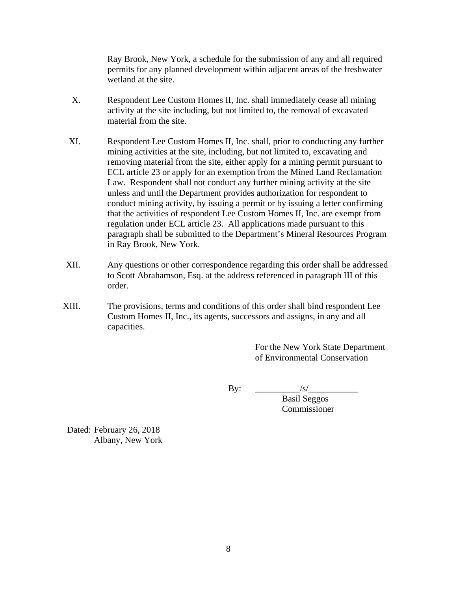Ray Brook, New York, a schedule for the submission of any and all required permits for any planned development within adjacent areas of the freshwater wetland at the site.

- X. Respondent Lee Custom Homes II, Inc. shall immediately cease all mining activity at the site including, but not limited to, the removal of excavated material from the site.
- XI. Respondent Lee Custom Homes II, Inc. shall, prior to conducting any further mining activities at the site, including, but not limited to, excavating and removing material from the site, either apply for a mining permit pursuant to ECL article 23 or apply for an exemption from the Mined Land Reclamation Law. Respondent shall not conduct any further mining activity at the site unless and until the Department provides authorization for respondent to conduct mining activity, by issuing a permit or by issuing a letter confirming that the activities of respondent Lee Custom Homes II, Inc. are exempt from regulation under ECL article 23. All applications made pursuant to this paragraph shall be submitted to the Department's Mineral Resources Program in Ray Brook, New York.
- XII. Any questions or other correspondence regarding this order shall be addressed to Scott Abrahamson, Esq. at the address referenced in paragraph III of this order.
- XIII. The provisions, terms and conditions of this order shall bind respondent Lee Custom Homes II, Inc., its agents, successors and assigns, in any and all capacities.

For the New York State Department of Environmental Conservation

By: \_\_\_\_\_\_\_\_\_\_/s/\_\_\_\_\_\_\_\_\_\_\_

Basil Seggos Commissioner

Dated: February 26, 2018 Albany, New York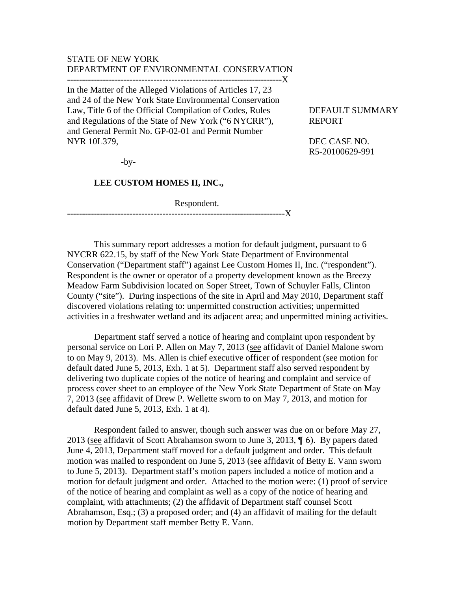## STATE OF NEW YORK DEPARTMENT OF ENVIRONMENTAL CONSERVATION

------------------------------------------------------------------------X

In the Matter of the Alleged Violations of Articles 17, 23 and 24 of the New York State Environmental Conservation Law, Title 6 of the Official Compilation of Codes, Rules DEFAULT SUMMARY and Regulations of the State of New York ("6 NYCRR"), REPORT and General Permit No. GP-02-01 and Permit Number NYR 10L379, DEC CASE NO.

 $-by-$ 

### **LEE CUSTOM HOMES II, INC.,**

Respondent.

-------------------------------------------------------------------------X

 This summary report addresses a motion for default judgment, pursuant to 6 NYCRR 622.15, by staff of the New York State Department of Environmental Conservation ("Department staff") against Lee Custom Homes II, Inc. ("respondent"). Respondent is the owner or operator of a property development known as the Breezy Meadow Farm Subdivision located on Soper Street, Town of Schuyler Falls, Clinton County ("site"). During inspections of the site in April and May 2010, Department staff discovered violations relating to: unpermitted construction activities; unpermitted activities in a freshwater wetland and its adjacent area; and unpermitted mining activities.

 Department staff served a notice of hearing and complaint upon respondent by personal service on Lori P. Allen on May 7, 2013 (see affidavit of Daniel Malone sworn to on May 9, 2013). Ms. Allen is chief executive officer of respondent (see motion for default dated June 5, 2013, Exh. 1 at 5). Department staff also served respondent by delivering two duplicate copies of the notice of hearing and complaint and service of process cover sheet to an employee of the New York State Department of State on May 7, 2013 (see affidavit of Drew P. Wellette sworn to on May 7, 2013, and motion for default dated June 5, 2013, Exh. 1 at 4).

Respondent failed to answer, though such answer was due on or before May 27, 2013 (see affidavit of Scott Abrahamson sworn to June 3, 2013,  $\P$  6). By papers dated June 4, 2013, Department staff moved for a default judgment and order. This default motion was mailed to respondent on June 5, 2013 (see affidavit of Betty E. Vann sworn to June 5, 2013). Department staff's motion papers included a notice of motion and a motion for default judgment and order. Attached to the motion were: (1) proof of service of the notice of hearing and complaint as well as a copy of the notice of hearing and complaint, with attachments; (2) the affidavit of Department staff counsel Scott Abrahamson, Esq.; (3) a proposed order; and (4) an affidavit of mailing for the default motion by Department staff member Betty E. Vann.

R5-20100629-991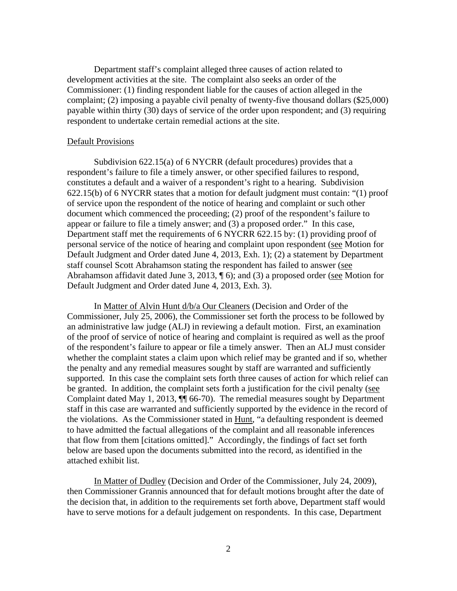Department staff's complaint alleged three causes of action related to development activities at the site. The complaint also seeks an order of the Commissioner: (1) finding respondent liable for the causes of action alleged in the complaint; (2) imposing a payable civil penalty of twenty-five thousand dollars (\$25,000) payable within thirty (30) days of service of the order upon respondent; and (3) requiring respondent to undertake certain remedial actions at the site.

#### Default Provisions

 Subdivision 622.15(a) of 6 NYCRR (default procedures) provides that a respondent's failure to file a timely answer, or other specified failures to respond, constitutes a default and a waiver of a respondent's right to a hearing. Subdivision 622.15(b) of 6 NYCRR states that a motion for default judgment must contain: "(1) proof of service upon the respondent of the notice of hearing and complaint or such other document which commenced the proceeding; (2) proof of the respondent's failure to appear or failure to file a timely answer; and (3) a proposed order." In this case, Department staff met the requirements of 6 NYCRR 622.15 by: (1) providing proof of personal service of the notice of hearing and complaint upon respondent (see Motion for Default Judgment and Order dated June 4, 2013, Exh. 1); (2) a statement by Department staff counsel Scott Abrahamson stating the respondent has failed to answer (see Abrahamson affidavit dated June 3, 2013, ¶ 6); and (3) a proposed order (see Motion for Default Judgment and Order dated June 4, 2013, Exh. 3).

 In Matter of Alvin Hunt d/b/a Our Cleaners (Decision and Order of the Commissioner, July 25, 2006), the Commissioner set forth the process to be followed by an administrative law judge (ALJ) in reviewing a default motion. First, an examination of the proof of service of notice of hearing and complaint is required as well as the proof of the respondent's failure to appear or file a timely answer. Then an ALJ must consider whether the complaint states a claim upon which relief may be granted and if so, whether the penalty and any remedial measures sought by staff are warranted and sufficiently supported. In this case the complaint sets forth three causes of action for which relief can be granted. In addition, the complaint sets forth a justification for the civil penalty (see Complaint dated May 1, 2013, ¶¶ 66-70). The remedial measures sought by Department staff in this case are warranted and sufficiently supported by the evidence in the record of the violations. As the Commissioner stated in Hunt, "a defaulting respondent is deemed to have admitted the factual allegations of the complaint and all reasonable inferences that flow from them [citations omitted]." Accordingly, the findings of fact set forth below are based upon the documents submitted into the record, as identified in the attached exhibit list.

 In Matter of Dudley (Decision and Order of the Commissioner, July 24, 2009), then Commissioner Grannis announced that for default motions brought after the date of the decision that, in addition to the requirements set forth above, Department staff would have to serve motions for a default judgement on respondents. In this case, Department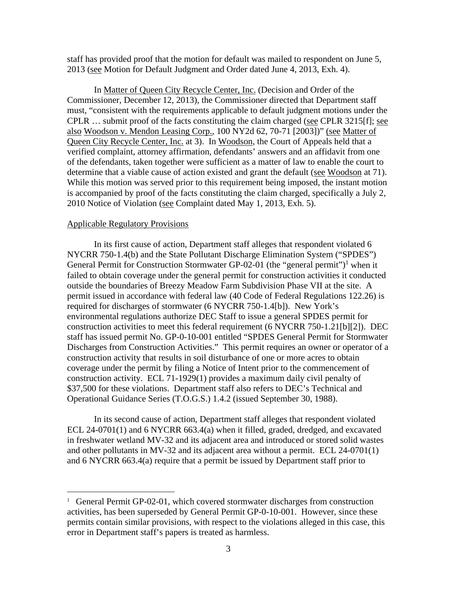staff has provided proof that the motion for default was mailed to respondent on June 5, 2013 (see Motion for Default Judgment and Order dated June 4, 2013, Exh. 4).

In Matter of Queen City Recycle Center, Inc. (Decision and Order of the Commissioner, December 12, 2013), the Commissioner directed that Department staff must, "consistent with the requirements applicable to default judgment motions under the CPLR … submit proof of the facts constituting the claim charged (see CPLR 3215[f]; see also Woodson v. Mendon Leasing Corp., 100 NY2d 62, 70-71 [2003])" (see Matter of Queen City Recycle Center, Inc. at 3). In Woodson, the Court of Appeals held that a verified complaint, attorney affirmation, defendants' answers and an affidavit from one of the defendants, taken together were sufficient as a matter of law to enable the court to determine that a viable cause of action existed and grant the default (see Woodson at 71). While this motion was served prior to this requirement being imposed, the instant motion is accompanied by proof of the facts constituting the claim charged, specifically a July 2, 2010 Notice of Violation (see Complaint dated May 1, 2013, Exh. 5).

### Applicable Regulatory Provisions

 $\overline{a}$ 

 In its first cause of action, Department staff alleges that respondent violated 6 NYCRR 750-1.4(b) and the State Pollutant Discharge Elimination System ("SPDES") General Permit for Construction Stormwater GP-02-01 (the "general permit")<sup>1</sup> when it failed to obtain coverage under the general permit for construction activities it conducted outside the boundaries of Breezy Meadow Farm Subdivision Phase VII at the site. A permit issued in accordance with federal law (40 Code of Federal Regulations 122.26) is required for discharges of stormwater (6 NYCRR 750-1.4[b]). New York's environmental regulations authorize DEC Staff to issue a general SPDES permit for construction activities to meet this federal requirement (6 NYCRR 750-1.21[b][2]). DEC staff has issued permit No. GP-0-10-001 entitled "SPDES General Permit for Stormwater Discharges from Construction Activities." This permit requires an owner or operator of a construction activity that results in soil disturbance of one or more acres to obtain coverage under the permit by filing a Notice of Intent prior to the commencement of construction activity. ECL 71-1929(1) provides a maximum daily civil penalty of \$37,500 for these violations. Department staff also refers to DEC's Technical and Operational Guidance Series (T.O.G.S.) 1.4.2 (issued September 30, 1988).

 In its second cause of action, Department staff alleges that respondent violated ECL 24-0701(1) and 6 NYCRR 663.4(a) when it filled, graded, dredged, and excavated in freshwater wetland MV-32 and its adjacent area and introduced or stored solid wastes and other pollutants in MV-32 and its adjacent area without a permit. ECL 24-0701(1) and 6 NYCRR 663.4(a) require that a permit be issued by Department staff prior to

<sup>&</sup>lt;sup>1</sup> General Permit GP-02-01, which covered stormwater discharges from construction activities, has been superseded by General Permit GP-0-10-001. However, since these permits contain similar provisions, with respect to the violations alleged in this case, this error in Department staff's papers is treated as harmless.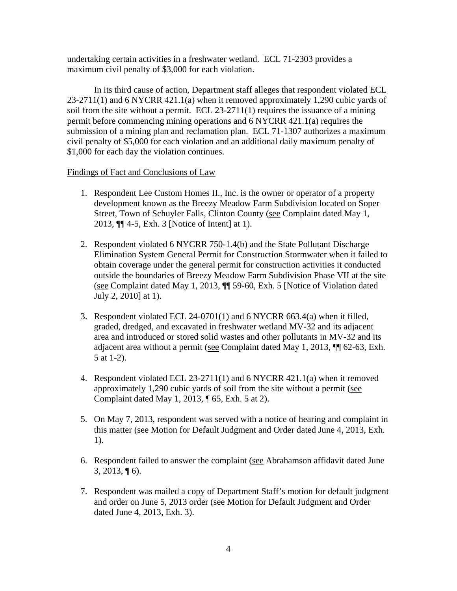undertaking certain activities in a freshwater wetland. ECL 71-2303 provides a maximum civil penalty of \$3,000 for each violation.

 In its third cause of action, Department staff alleges that respondent violated ECL 23-2711(1) and 6 NYCRR 421.1(a) when it removed approximately 1,290 cubic yards of soil from the site without a permit. ECL 23-2711(1) requires the issuance of a mining permit before commencing mining operations and 6 NYCRR 421.1(a) requires the submission of a mining plan and reclamation plan. ECL 71-1307 authorizes a maximum civil penalty of \$5,000 for each violation and an additional daily maximum penalty of \$1,000 for each day the violation continues.

# Findings of Fact and Conclusions of Law

- 1. Respondent Lee Custom Homes II., Inc. is the owner or operator of a property development known as the Breezy Meadow Farm Subdivision located on Soper Street, Town of Schuyler Falls, Clinton County (see Complaint dated May 1, 2013, ¶¶ 4-5, Exh. 3 [Notice of Intent] at 1).
- 2. Respondent violated 6 NYCRR 750-1.4(b) and the State Pollutant Discharge Elimination System General Permit for Construction Stormwater when it failed to obtain coverage under the general permit for construction activities it conducted outside the boundaries of Breezy Meadow Farm Subdivision Phase VII at the site (see Complaint dated May 1, 2013, ¶¶ 59-60, Exh. 5 [Notice of Violation dated July 2, 2010] at 1).
- 3. Respondent violated ECL 24-0701(1) and 6 NYCRR 663.4(a) when it filled, graded, dredged, and excavated in freshwater wetland MV-32 and its adjacent area and introduced or stored solid wastes and other pollutants in MV-32 and its adjacent area without a permit (see Complaint dated May 1, 2013, ¶¶ 62-63, Exh. 5 at 1-2).
- 4. Respondent violated ECL 23-2711(1) and 6 NYCRR 421.1(a) when it removed approximately 1,290 cubic yards of soil from the site without a permit (see Complaint dated May 1, 2013, ¶ 65, Exh. 5 at 2).
- 5. On May 7, 2013, respondent was served with a notice of hearing and complaint in this matter (see Motion for Default Judgment and Order dated June 4, 2013, Exh. 1).
- 6. Respondent failed to answer the complaint (see Abrahamson affidavit dated June  $3, 2013, \P 6$ .
- 7. Respondent was mailed a copy of Department Staff's motion for default judgment and order on June 5, 2013 order (see Motion for Default Judgment and Order dated June 4, 2013, Exh. 3).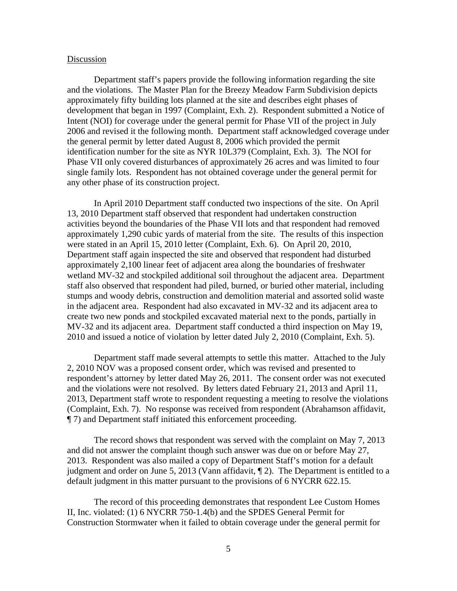### Discussion

 Department staff's papers provide the following information regarding the site and the violations. The Master Plan for the Breezy Meadow Farm Subdivision depicts approximately fifty building lots planned at the site and describes eight phases of development that began in 1997 (Complaint, Exh. 2). Respondent submitted a Notice of Intent (NOI) for coverage under the general permit for Phase VII of the project in July 2006 and revised it the following month. Department staff acknowledged coverage under the general permit by letter dated August 8, 2006 which provided the permit identification number for the site as NYR 10L379 (Complaint, Exh. 3). The NOI for Phase VII only covered disturbances of approximately 26 acres and was limited to four single family lots. Respondent has not obtained coverage under the general permit for any other phase of its construction project.

 In April 2010 Department staff conducted two inspections of the site. On April 13, 2010 Department staff observed that respondent had undertaken construction activities beyond the boundaries of the Phase VII lots and that respondent had removed approximately 1,290 cubic yards of material from the site. The results of this inspection were stated in an April 15, 2010 letter (Complaint, Exh. 6). On April 20, 2010, Department staff again inspected the site and observed that respondent had disturbed approximately 2,100 linear feet of adjacent area along the boundaries of freshwater wetland MV-32 and stockpiled additional soil throughout the adjacent area. Department staff also observed that respondent had piled, burned, or buried other material, including stumps and woody debris, construction and demolition material and assorted solid waste in the adjacent area. Respondent had also excavated in MV-32 and its adjacent area to create two new ponds and stockpiled excavated material next to the ponds, partially in MV-32 and its adjacent area. Department staff conducted a third inspection on May 19, 2010 and issued a notice of violation by letter dated July 2, 2010 (Complaint, Exh. 5).

 Department staff made several attempts to settle this matter. Attached to the July 2, 2010 NOV was a proposed consent order, which was revised and presented to respondent's attorney by letter dated May 26, 2011. The consent order was not executed and the violations were not resolved. By letters dated February 21, 2013 and April 11, 2013, Department staff wrote to respondent requesting a meeting to resolve the violations (Complaint, Exh. 7). No response was received from respondent (Abrahamson affidavit, ¶ 7) and Department staff initiated this enforcement proceeding.

 The record shows that respondent was served with the complaint on May 7, 2013 and did not answer the complaint though such answer was due on or before May 27, 2013. Respondent was also mailed a copy of Department Staff's motion for a default judgment and order on June 5, 2013 (Vann affidavit,  $\P$  2). The Department is entitled to a default judgment in this matter pursuant to the provisions of 6 NYCRR 622.15.

 The record of this proceeding demonstrates that respondent Lee Custom Homes II, Inc. violated: (1) 6 NYCRR 750-1.4(b) and the SPDES General Permit for Construction Stormwater when it failed to obtain coverage under the general permit for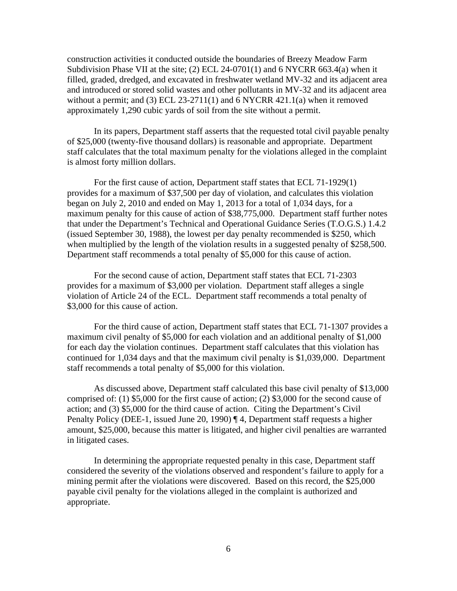construction activities it conducted outside the boundaries of Breezy Meadow Farm Subdivision Phase VII at the site; (2) ECL 24-0701(1) and 6 NYCRR 663.4(a) when it filled, graded, dredged, and excavated in freshwater wetland MV-32 and its adjacent area and introduced or stored solid wastes and other pollutants in MV-32 and its adjacent area without a permit; and (3) ECL 23-2711(1) and  $6$  NYCRR 421.1(a) when it removed approximately 1,290 cubic yards of soil from the site without a permit.

In its papers, Department staff asserts that the requested total civil payable penalty of \$25,000 (twenty-five thousand dollars) is reasonable and appropriate. Department staff calculates that the total maximum penalty for the violations alleged in the complaint is almost forty million dollars.

For the first cause of action, Department staff states that ECL 71-1929(1) provides for a maximum of \$37,500 per day of violation, and calculates this violation began on July 2, 2010 and ended on May 1, 2013 for a total of 1,034 days, for a maximum penalty for this cause of action of \$38,775,000. Department staff further notes that under the Department's Technical and Operational Guidance Series (T.O.G.S.) 1.4.2 (issued September 30, 1988), the lowest per day penalty recommended is \$250, which when multiplied by the length of the violation results in a suggested penalty of \$258,500. Department staff recommends a total penalty of \$5,000 for this cause of action.

For the second cause of action, Department staff states that ECL 71-2303 provides for a maximum of \$3,000 per violation. Department staff alleges a single violation of Article 24 of the ECL. Department staff recommends a total penalty of \$3,000 for this cause of action.

For the third cause of action, Department staff states that ECL 71-1307 provides a maximum civil penalty of \$5,000 for each violation and an additional penalty of \$1,000 for each day the violation continues. Department staff calculates that this violation has continued for 1,034 days and that the maximum civil penalty is \$1,039,000. Department staff recommends a total penalty of \$5,000 for this violation.

As discussed above, Department staff calculated this base civil penalty of \$13,000 comprised of: (1) \$5,000 for the first cause of action; (2) \$3,000 for the second cause of action; and (3) \$5,000 for the third cause of action. Citing the Department's Civil Penalty Policy (DEE-1, issued June 20, 1990) ¶ 4, Department staff requests a higher amount, \$25,000, because this matter is litigated, and higher civil penalties are warranted in litigated cases.

In determining the appropriate requested penalty in this case, Department staff considered the severity of the violations observed and respondent's failure to apply for a mining permit after the violations were discovered. Based on this record, the \$25,000 payable civil penalty for the violations alleged in the complaint is authorized and appropriate.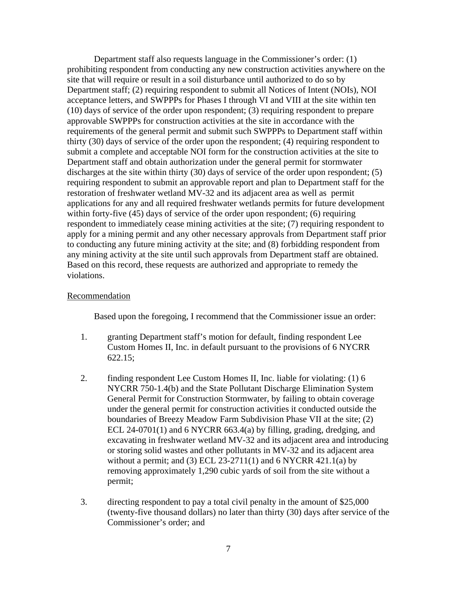Department staff also requests language in the Commissioner's order: (1) prohibiting respondent from conducting any new construction activities anywhere on the site that will require or result in a soil disturbance until authorized to do so by Department staff; (2) requiring respondent to submit all Notices of Intent (NOIs), NOI acceptance letters, and SWPPPs for Phases I through VI and VIII at the site within ten (10) days of service of the order upon respondent; (3) requiring respondent to prepare approvable SWPPPs for construction activities at the site in accordance with the requirements of the general permit and submit such SWPPPs to Department staff within thirty (30) days of service of the order upon the respondent; (4) requiring respondent to submit a complete and acceptable NOI form for the construction activities at the site to Department staff and obtain authorization under the general permit for stormwater discharges at the site within thirty (30) days of service of the order upon respondent; (5) requiring respondent to submit an approvable report and plan to Department staff for the restoration of freshwater wetland MV-32 and its adjacent area as well as permit applications for any and all required freshwater wetlands permits for future development within forty-five (45) days of service of the order upon respondent; (6) requiring respondent to immediately cease mining activities at the site; (7) requiring respondent to apply for a mining permit and any other necessary approvals from Department staff prior to conducting any future mining activity at the site; and (8) forbidding respondent from any mining activity at the site until such approvals from Department staff are obtained. Based on this record, these requests are authorized and appropriate to remedy the violations.

### Recommendation

Based upon the foregoing, I recommend that the Commissioner issue an order:

- 1. granting Department staff's motion for default, finding respondent Lee Custom Homes II, Inc. in default pursuant to the provisions of 6 NYCRR 622.15;
- 2. finding respondent Lee Custom Homes II, Inc. liable for violating: (1) 6 NYCRR 750-1.4(b) and the State Pollutant Discharge Elimination System General Permit for Construction Stormwater, by failing to obtain coverage under the general permit for construction activities it conducted outside the boundaries of Breezy Meadow Farm Subdivision Phase VII at the site; (2) ECL 24-0701(1) and 6 NYCRR 663.4(a) by filling, grading, dredging, and excavating in freshwater wetland MV-32 and its adjacent area and introducing or storing solid wastes and other pollutants in MV-32 and its adjacent area without a permit; and (3) ECL 23-2711(1) and  $6$  NYCRR 421.1(a) by removing approximately 1,290 cubic yards of soil from the site without a permit;
- 3. directing respondent to pay a total civil penalty in the amount of \$25,000 (twenty-five thousand dollars) no later than thirty (30) days after service of the Commissioner's order; and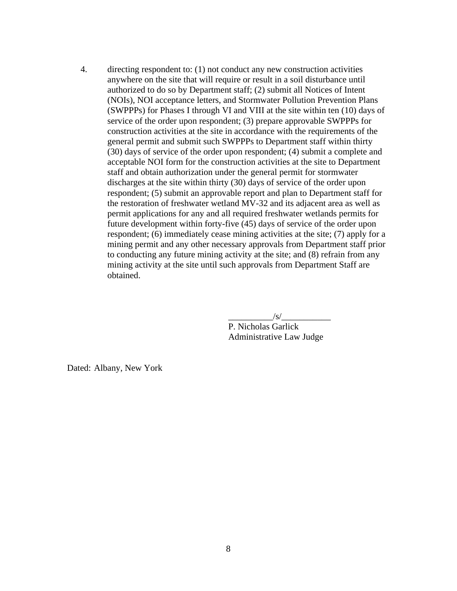4. directing respondent to: (1) not conduct any new construction activities anywhere on the site that will require or result in a soil disturbance until authorized to do so by Department staff; (2) submit all Notices of Intent (NOIs), NOI acceptance letters, and Stormwater Pollution Prevention Plans (SWPPPs) for Phases I through VI and VIII at the site within ten (10) days of service of the order upon respondent; (3) prepare approvable SWPPPs for construction activities at the site in accordance with the requirements of the general permit and submit such SWPPPs to Department staff within thirty (30) days of service of the order upon respondent; (4) submit a complete and acceptable NOI form for the construction activities at the site to Department staff and obtain authorization under the general permit for stormwater discharges at the site within thirty (30) days of service of the order upon respondent; (5) submit an approvable report and plan to Department staff for the restoration of freshwater wetland MV-32 and its adjacent area as well as permit applications for any and all required freshwater wetlands permits for future development within forty-five (45) days of service of the order upon respondent; (6) immediately cease mining activities at the site; (7) apply for a mining permit and any other necessary approvals from Department staff prior to conducting any future mining activity at the site; and (8) refrain from any mining activity at the site until such approvals from Department Staff are obtained.

 $\frac{|S|}{|S|}$ 

 P. Nicholas Garlick Administrative Law Judge

Dated: Albany, New York